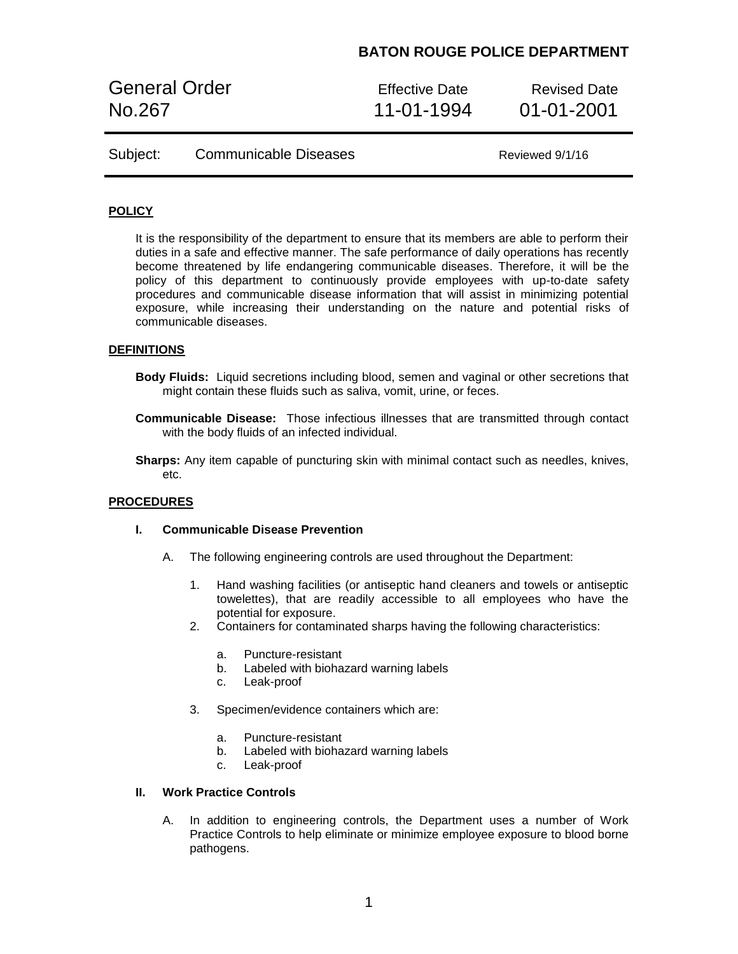General Order **Effective Date** Revised Date No.267 11-01-1994 01-01-2001

| Subject: | <b>Communicable Diseases</b> | Reviewed 9/1/16 |
|----------|------------------------------|-----------------|
|          |                              |                 |

### **POLICY**

It is the responsibility of the department to ensure that its members are able to perform their duties in a safe and effective manner. The safe performance of daily operations has recently become threatened by life endangering communicable diseases. Therefore, it will be the policy of this department to continuously provide employees with up-to-date safety procedures and communicable disease information that will assist in minimizing potential exposure, while increasing their understanding on the nature and potential risks of communicable diseases.

### **DEFINITIONS**

- **Body Fluids:** Liquid secretions including blood, semen and vaginal or other secretions that might contain these fluids such as saliva, vomit, urine, or feces.
- **Communicable Disease:** Those infectious illnesses that are transmitted through contact with the body fluids of an infected individual.
- **Sharps:** Any item capable of puncturing skin with minimal contact such as needles, knives, etc.

#### **PROCEDURES**

### **I. Communicable Disease Prevention**

- A. The following engineering controls are used throughout the Department:
	- 1. Hand washing facilities (or antiseptic hand cleaners and towels or antiseptic towelettes), that are readily accessible to all employees who have the potential for exposure.
	- 2. Containers for contaminated sharps having the following characteristics:
		- a. Puncture-resistant
		- b. Labeled with biohazard warning labels
		- c. Leak-proof
	- 3. Specimen/evidence containers which are:
		- a. Puncture-resistant
		- b. Labeled with biohazard warning labels
		- c. Leak-proof

### **II. Work Practice Controls**

A. In addition to engineering controls, the Department uses a number of Work Practice Controls to help eliminate or minimize employee exposure to blood borne pathogens.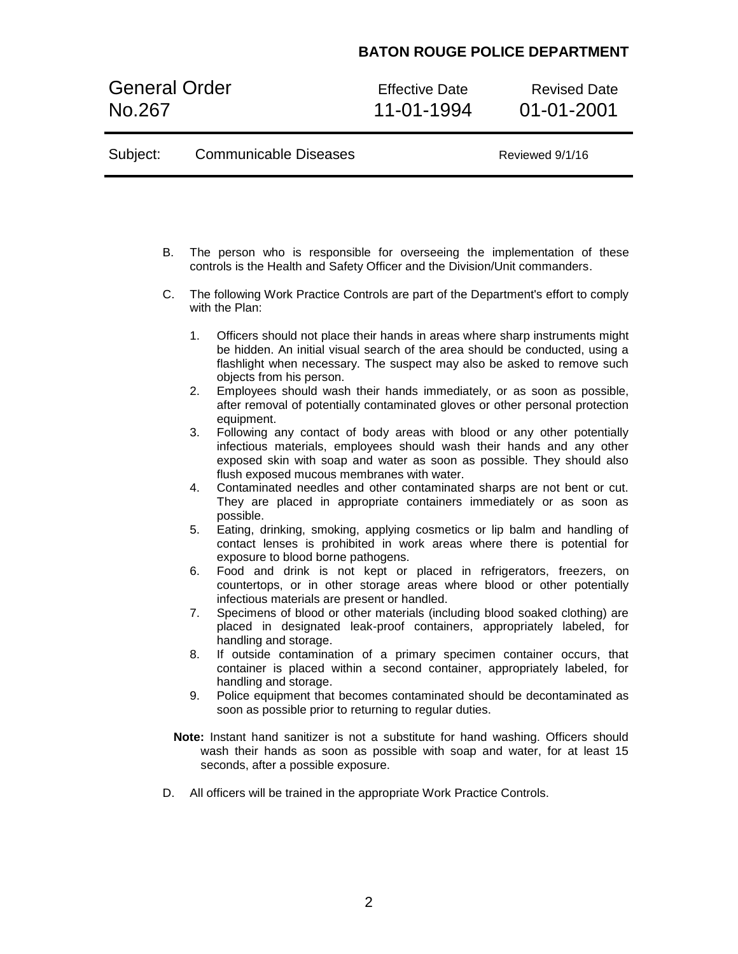General Order Effective Date Revised Date<br>No.267 11-01-1994 01-01-2001

Subject: Communicable Diseases Reviewed 9/1/16

01-01-2001

| В. | The person who is responsible for overseeing the implementation of these<br>controls is the Health and Safety Officer and the Division/Unit commanders.                                                                                                                        |
|----|--------------------------------------------------------------------------------------------------------------------------------------------------------------------------------------------------------------------------------------------------------------------------------|
| C. | The following Work Practice Controls are part of the Department's effort to comply<br>with the Plan:                                                                                                                                                                           |
|    | 1.<br>Officers should not place their hands in areas where sharp instruments might<br>be hidden. An initial visual search of the area should be conducted, using a<br>flashlight when necessary. The suspect may also be asked to remove such<br>objects from his person.      |
|    | Employees should wash their hands immediately, or as soon as possible,<br>2.<br>after removal of potentially contaminated gloves or other personal protection<br>equipment.                                                                                                    |
|    | 3.<br>Following any contact of body areas with blood or any other potentially<br>infectious materials, employees should wash their hands and any other<br>exposed skin with soap and water as soon as possible. They should also<br>flush exposed mucous membranes with water. |
|    | Contaminated needles and other contaminated sharps are not bent or cut.<br>4.<br>They are placed in appropriate containers immediately or as soon as<br>possible.                                                                                                              |
|    | 5.<br>Eating, drinking, smoking, applying cosmetics or lip balm and handling of<br>contact lenses is prohibited in work areas where there is potential for<br>exposure to blood borne pathogens.                                                                               |
|    | Food and drink is not kept or placed in refrigerators, freezers, on<br>6.<br>countertops, or in other storage areas where blood or other potentially<br>infectious materials are present or handled.                                                                           |
|    | Specimens of blood or other materials (including blood soaked clothing) are<br>7.<br>placed in designated leak-proof containers, appropriately labeled, for<br>handling and storage.                                                                                           |
|    | If outside contamination of a primary specimen container occurs, that<br>8.<br>container is placed within a second container, appropriately labeled, for<br>handling and storage.                                                                                              |
|    | Police equipment that becomes contaminated should be decontaminated as<br>9.<br>soon as possible prior to returning to regular duties.                                                                                                                                         |
|    | Note: Instant hand sanitizer is not a substitute for hand washing. Officers should<br>wash their hands as soon as possible with soap and water, for at least 15<br>seconds, after a possible exposure.                                                                         |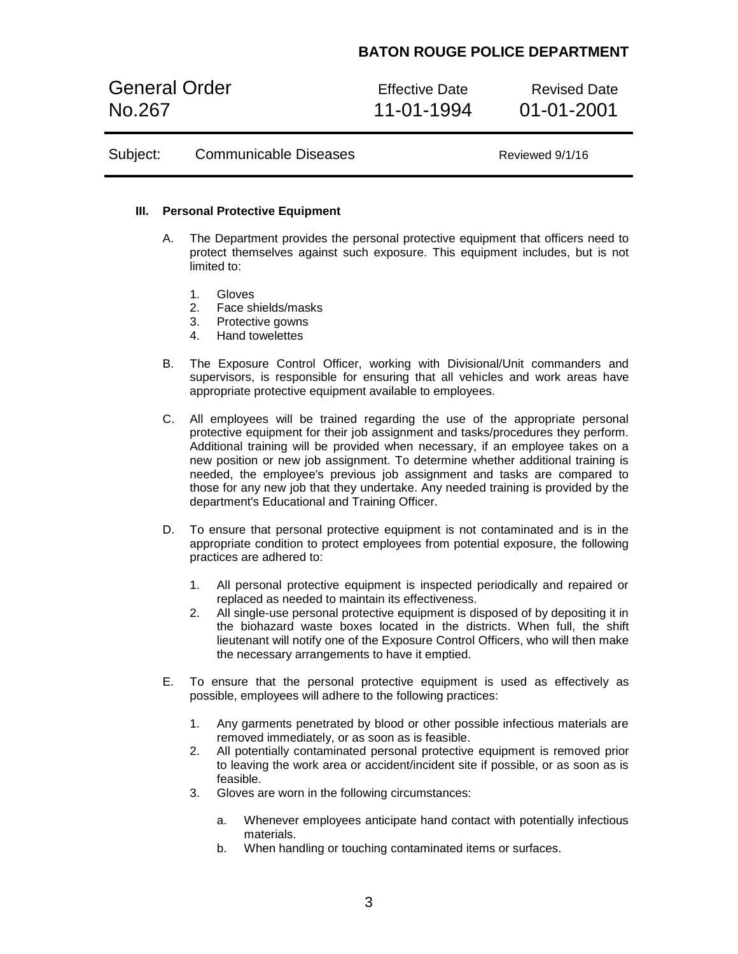General Order **Effective Date** Revised Date No.267 11-01-1994 01-01-2001

| Subject: | <b>Communicable Diseases</b> |
|----------|------------------------------|
|----------|------------------------------|

Reviewed 9/1/16

### **III. Personal Protective Equipment**

- A. The Department provides the personal protective equipment that officers need to protect themselves against such exposure. This equipment includes, but is not limited to:
	- 1. Gloves
	- 2. Face shields/masks
	- 3. Protective gowns
	- 4. Hand towelettes
- B. The Exposure Control Officer, working with Divisional/Unit commanders and supervisors, is responsible for ensuring that all vehicles and work areas have appropriate protective equipment available to employees.
- C. All employees will be trained regarding the use of the appropriate personal protective equipment for their job assignment and tasks/procedures they perform. Additional training will be provided when necessary, if an employee takes on a new position or new job assignment. To determine whether additional training is needed, the employee's previous job assignment and tasks are compared to those for any new job that they undertake. Any needed training is provided by the department's Educational and Training Officer.
- D. To ensure that personal protective equipment is not contaminated and is in the appropriate condition to protect employees from potential exposure, the following practices are adhered to:
	- 1. All personal protective equipment is inspected periodically and repaired or replaced as needed to maintain its effectiveness.
	- 2. All single-use personal protective equipment is disposed of by depositing it in the biohazard waste boxes located in the districts. When full, the shift lieutenant will notify one of the Exposure Control Officers, who will then make the necessary arrangements to have it emptied.
- E. To ensure that the personal protective equipment is used as effectively as possible, employees will adhere to the following practices:
	- 1. Any garments penetrated by blood or other possible infectious materials are removed immediately, or as soon as is feasible.
	- 2. All potentially contaminated personal protective equipment is removed prior to leaving the work area or accident/incident site if possible, or as soon as is feasible.
	- 3. Gloves are worn in the following circumstances:
		- a. Whenever employees anticipate hand contact with potentially infectious materials.
		- b. When handling or touching contaminated items or surfaces.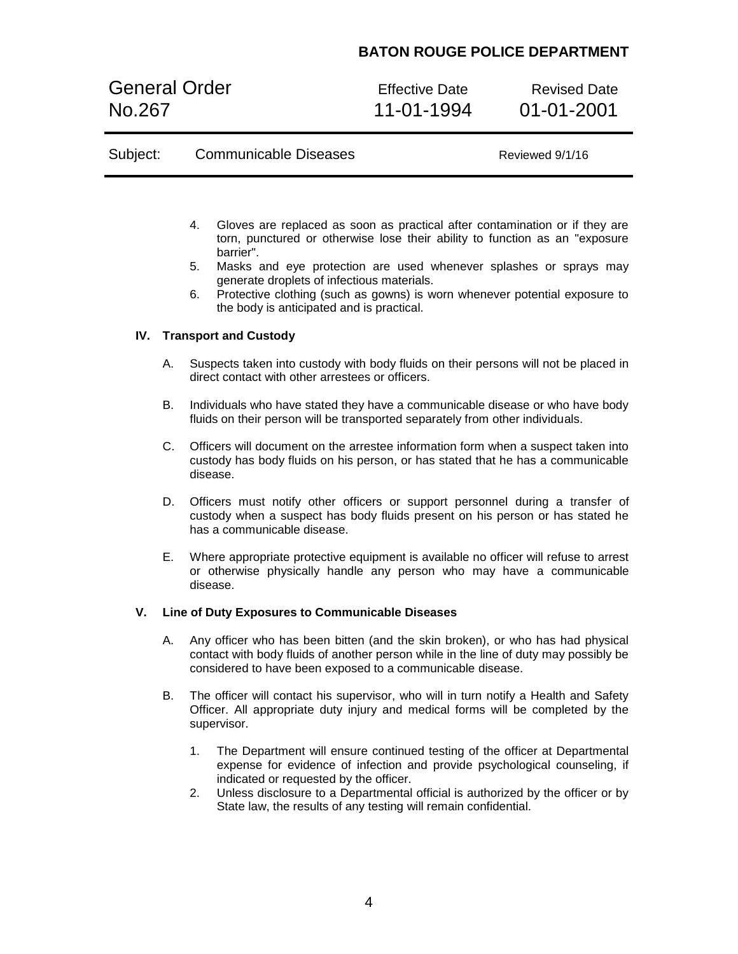General Order **Effective Date** Revised Date No.267 11-01-1994 01-01-2001

| Subject: | <b>Communicable Diseases</b> | Reviewed 9/1/16 |
|----------|------------------------------|-----------------|
|          |                              |                 |

- 4. Gloves are replaced as soon as practical after contamination or if they are torn, punctured or otherwise lose their ability to function as an "exposure barrier".
- 5. Masks and eye protection are used whenever splashes or sprays may generate droplets of infectious materials.
- 6. Protective clothing (such as gowns) is worn whenever potential exposure to the body is anticipated and is practical.

### **IV. Transport and Custody**

- A. Suspects taken into custody with body fluids on their persons will not be placed in direct contact with other arrestees or officers.
- B. Individuals who have stated they have a communicable disease or who have body fluids on their person will be transported separately from other individuals.
- C. Officers will document on the arrestee information form when a suspect taken into custody has body fluids on his person, or has stated that he has a communicable disease.
- D. Officers must notify other officers or support personnel during a transfer of custody when a suspect has body fluids present on his person or has stated he has a communicable disease.
- E. Where appropriate protective equipment is available no officer will refuse to arrest or otherwise physically handle any person who may have a communicable disease.

### **V. Line of Duty Exposures to Communicable Diseases**

- A. Any officer who has been bitten (and the skin broken), or who has had physical contact with body fluids of another person while in the line of duty may possibly be considered to have been exposed to a communicable disease.
- B. The officer will contact his supervisor, who will in turn notify a Health and Safety Officer. All appropriate duty injury and medical forms will be completed by the supervisor.
	- 1. The Department will ensure continued testing of the officer at Departmental expense for evidence of infection and provide psychological counseling, if indicated or requested by the officer.
	- 2. Unless disclosure to a Departmental official is authorized by the officer or by State law, the results of any testing will remain confidential.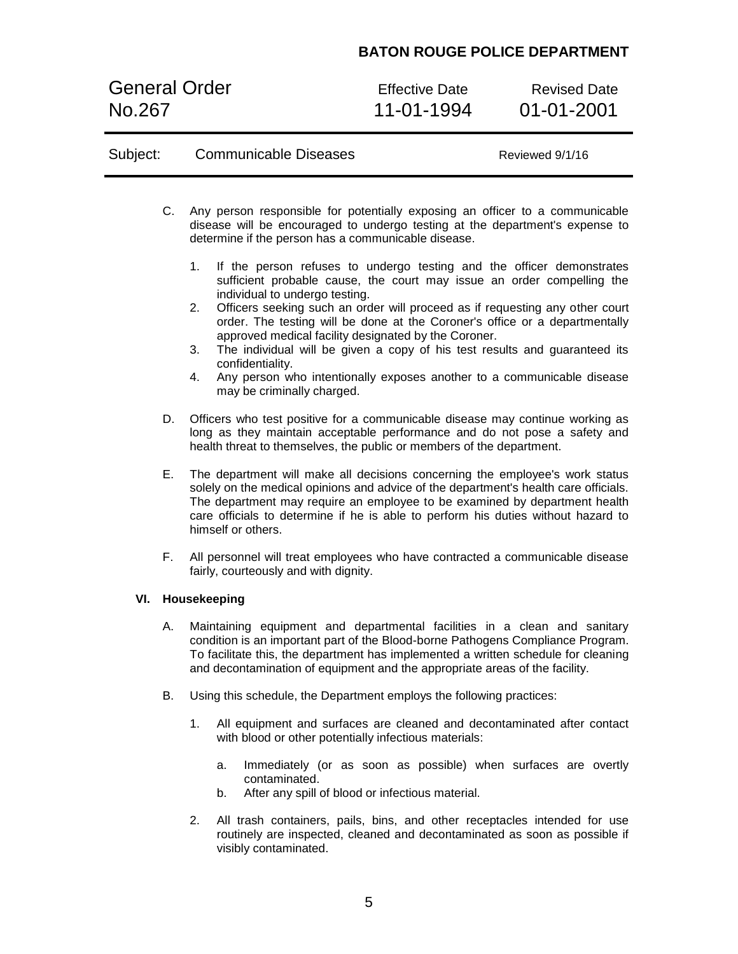General Order **Effective Date** Revised Date No.267 11-01-1994 01-01-2001

| Subject: |              | <b>Communicable Diseases</b>                                                                                                                                                                                                                                                                                                                                                                                                                                                 | Reviewed 9/1/16                                                                                                                                                                                                                                                                                                                                                                               |
|----------|--------------|------------------------------------------------------------------------------------------------------------------------------------------------------------------------------------------------------------------------------------------------------------------------------------------------------------------------------------------------------------------------------------------------------------------------------------------------------------------------------|-----------------------------------------------------------------------------------------------------------------------------------------------------------------------------------------------------------------------------------------------------------------------------------------------------------------------------------------------------------------------------------------------|
|          | C.           | Any person responsible for potentially exposing an officer to a communicable<br>disease will be encouraged to undergo testing at the department's expense to<br>determine if the person has a communicable disease.<br>1 <sub>1</sub><br>If the person refuses to undergo testing and the officer demonstrates<br>individual to undergo testing.<br>2.<br>approved medical facility designated by the Coroner.<br>3.<br>confidentiality.<br>4.<br>may be criminally charged. | sufficient probable cause, the court may issue an order compelling the<br>Officers seeking such an order will proceed as if requesting any other court<br>order. The testing will be done at the Coroner's office or a departmentally<br>The individual will be given a copy of his test results and guaranteed its<br>Any person who intentionally exposes another to a communicable disease |
|          | D.           | Officers who test positive for a communicable disease may continue working as<br>long as they maintain acceptable performance and do not pose a safety and<br>health threat to themselves, the public or members of the department.                                                                                                                                                                                                                                          |                                                                                                                                                                                                                                                                                                                                                                                               |
|          | Е.           | The department will make all decisions concerning the employee's work status<br>solely on the medical opinions and advice of the department's health care officials.<br>The department may require an employee to be examined by department health<br>care officials to determine if he is able to perform his duties without hazard to<br>himself or others.                                                                                                                |                                                                                                                                                                                                                                                                                                                                                                                               |
|          | F.           | All personnel will treat employees who have contracted a communicable disease<br>fairly, courteously and with dignity.                                                                                                                                                                                                                                                                                                                                                       |                                                                                                                                                                                                                                                                                                                                                                                               |
| VI.      | Housekeeping |                                                                                                                                                                                                                                                                                                                                                                                                                                                                              |                                                                                                                                                                                                                                                                                                                                                                                               |
|          | А.           | Maintaining equipment and departmental facilities in a clean and sanitary<br>condition is an important part of the Blood-borne Pathogens Compliance Program.<br>To facilitate this, the department has implemented a written schedule for cleaning<br>and decontamination of equipment and the appropriate areas of the facility.                                                                                                                                            |                                                                                                                                                                                                                                                                                                                                                                                               |

- B. Using this schedule, the Department employs the following practices:
	- 1. All equipment and surfaces are cleaned and decontaminated after contact with blood or other potentially infectious materials:
		- a. Immediately (or as soon as possible) when surfaces are overtly contaminated.
		- b. After any spill of blood or infectious material.
	- 2. All trash containers, pails, bins, and other receptacles intended for use routinely are inspected, cleaned and decontaminated as soon as possible if visibly contaminated.